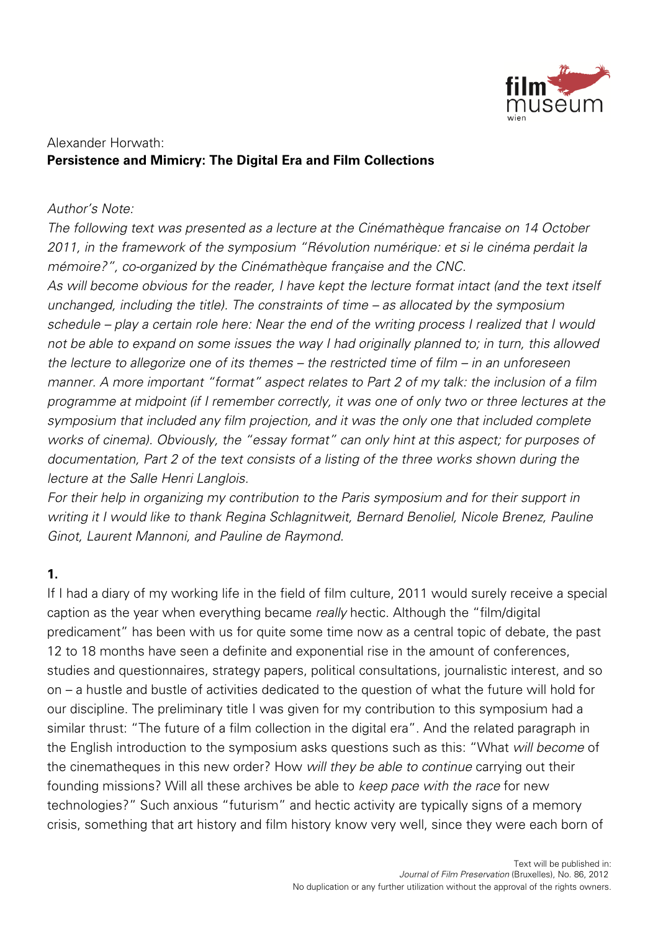

#### Alexander Horwath: **Persistence and Mimicry: The Digital Era and Film Collections**

#### Author's Note:

The following text was presented as a lecture at the Cinémathèque francaise on 14 October 2011, in the framework of the symposium "Révolution numérique: et si le cinéma perdait la mémoire?", co-organized by the Cinémathèque française and the CNC.

As will become obvious for the reader, I have kept the lecture format intact (and the text itself unchanged, including the title). The constraints of time – as allocated by the symposium schedule – play a certain role here: Near the end of the writing process I realized that I would not be able to expand on some issues the way I had originally planned to; in turn, this allowed the lecture to allegorize one of its themes – the restricted time of film – in an unforeseen manner. A more important "format" aspect relates to Part 2 of my talk: the inclusion of a film programme at midpoint (if I remember correctly, it was one of only two or three lectures at the symposium that included any film projection, and it was the only one that included complete works of cinema). Obviously, the "essay format" can only hint at this aspect; for purposes of documentation, Part 2 of the text consists of a listing of the three works shown during the lecture at the Salle Henri Langlois.

For their help in organizing my contribution to the Paris symposium and for their support in writing it I would like to thank Regina Schlagnitweit, Bernard Benoliel, Nicole Brenez, Pauline Ginot, Laurent Mannoni, and Pauline de Raymond.

## **1.**

If I had a diary of my working life in the field of film culture, 2011 would surely receive a special caption as the year when everything became really hectic. Although the "film/digital predicament" has been with us for quite some time now as a central topic of debate, the past 12 to 18 months have seen a definite and exponential rise in the amount of conferences, studies and questionnaires, strategy papers, political consultations, journalistic interest, and so on – a hustle and bustle of activities dedicated to the question of what the future will hold for our discipline. The preliminary title I was given for my contribution to this symposium had a similar thrust: "The future of a film collection in the digital era". And the related paragraph in the English introduction to the symposium asks questions such as this: "What will become of the cinematheques in this new order? How will they be able to continue carrying out their founding missions? Will all these archives be able to keep pace with the race for new technologies?" Such anxious "futurism" and hectic activity are typically signs of a memory crisis, something that art history and film history know very well, since they were each born of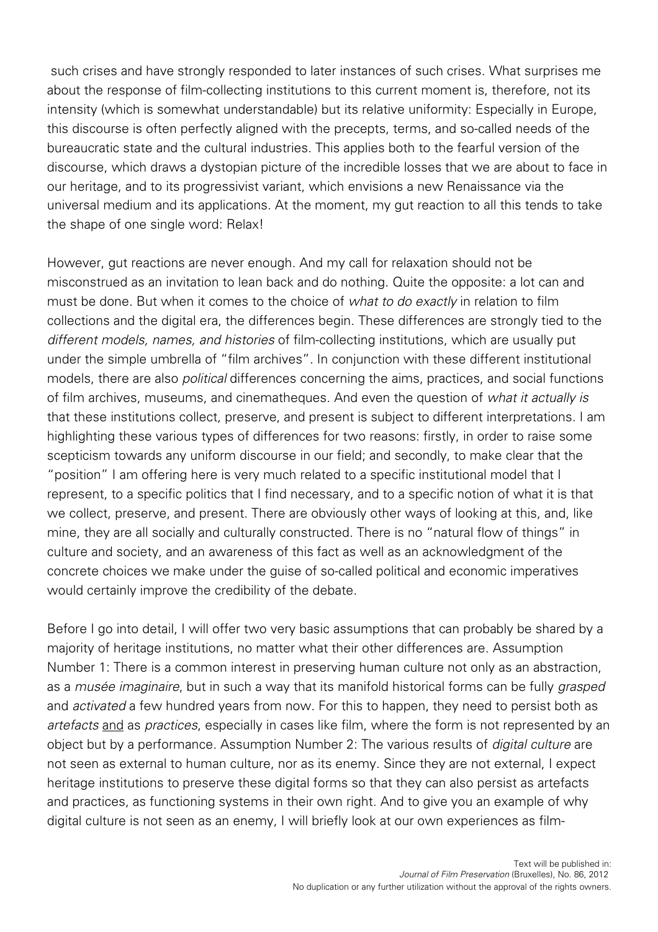such crises and have strongly responded to later instances of such crises. What surprises me about the response of film-collecting institutions to this current moment is, therefore, not its intensity (which is somewhat understandable) but its relative uniformity: Especially in Europe, this discourse is often perfectly aligned with the precepts, terms, and so-called needs of the bureaucratic state and the cultural industries. This applies both to the fearful version of the discourse, which draws a dystopian picture of the incredible losses that we are about to face in our heritage, and to its progressivist variant, which envisions a new Renaissance via the universal medium and its applications. At the moment, my gut reaction to all this tends to take the shape of one single word: Relax!

However, gut reactions are never enough. And my call for relaxation should not be misconstrued as an invitation to lean back and do nothing. Quite the opposite: a lot can and must be done. But when it comes to the choice of *what to do exactly* in relation to film collections and the digital era, the differences begin. These differences are strongly tied to the different models, names, and histories of film-collecting institutions, which are usually put under the simple umbrella of "film archives". In conjunction with these different institutional models, there are also political differences concerning the aims, practices, and social functions of film archives, museums, and cinematheques. And even the question of what it actually is that these institutions collect, preserve, and present is subject to different interpretations. I am highlighting these various types of differences for two reasons: firstly, in order to raise some scepticism towards any uniform discourse in our field; and secondly, to make clear that the "position" I am offering here is very much related to a specific institutional model that I represent, to a specific politics that I find necessary, and to a specific notion of what it is that we collect, preserve, and present. There are obviously other ways of looking at this, and, like mine, they are all socially and culturally constructed. There is no "natural flow of things" in culture and society, and an awareness of this fact as well as an acknowledgment of the concrete choices we make under the guise of so-called political and economic imperatives would certainly improve the credibility of the debate.

Before I go into detail, I will offer two very basic assumptions that can probably be shared by a majority of heritage institutions, no matter what their other differences are. Assumption Number 1: There is a common interest in preserving human culture not only as an abstraction, as a musée imaginaire, but in such a way that its manifold historical forms can be fully grasped and activated a few hundred years from now. For this to happen, they need to persist both as artefacts and as practices, especially in cases like film, where the form is not represented by an object but by a performance. Assumption Number 2: The various results of digital culture are not seen as external to human culture, nor as its enemy. Since they are not external, I expect heritage institutions to preserve these digital forms so that they can also persist as artefacts and practices, as functioning systems in their own right. And to give you an example of why digital culture is not seen as an enemy, I will briefly look at our own experiences as film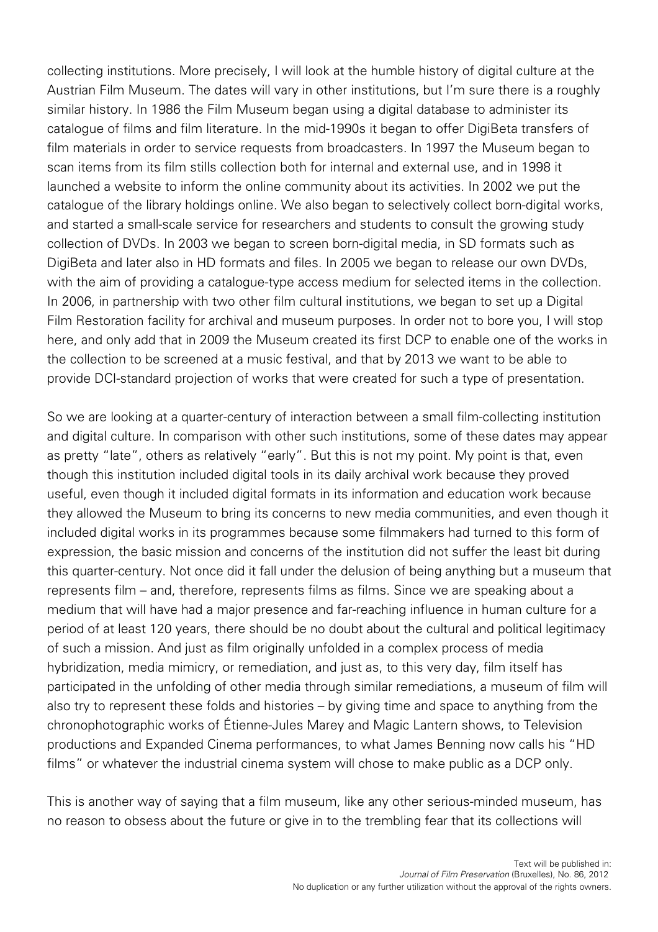collecting institutions. More precisely, I will look at the humble history of digital culture at the Austrian Film Museum. The dates will vary in other institutions, but I'm sure there is a roughly similar history. In 1986 the Film Museum began using a digital database to administer its catalogue of films and film literature. In the mid-1990s it began to offer DigiBeta transfers of film materials in order to service requests from broadcasters. In 1997 the Museum began to scan items from its film stills collection both for internal and external use, and in 1998 it launched a website to inform the online community about its activities. In 2002 we put the catalogue of the library holdings online. We also began to selectively collect born-digital works, and started a small-scale service for researchers and students to consult the growing study collection of DVDs. In 2003 we began to screen born-digital media, in SD formats such as DigiBeta and later also in HD formats and files. In 2005 we began to release our own DVDs, with the aim of providing a catalogue-type access medium for selected items in the collection. In 2006, in partnership with two other film cultural institutions, we began to set up a Digital Film Restoration facility for archival and museum purposes. In order not to bore you, I will stop here, and only add that in 2009 the Museum created its first DCP to enable one of the works in the collection to be screened at a music festival, and that by 2013 we want to be able to provide DCI-standard projection of works that were created for such a type of presentation.

So we are looking at a quarter-century of interaction between a small film-collecting institution and digital culture. In comparison with other such institutions, some of these dates may appear as pretty "late", others as relatively "early". But this is not my point. My point is that, even though this institution included digital tools in its daily archival work because they proved useful, even though it included digital formats in its information and education work because they allowed the Museum to bring its concerns to new media communities, and even though it included digital works in its programmes because some filmmakers had turned to this form of expression, the basic mission and concerns of the institution did not suffer the least bit during this quarter-century. Not once did it fall under the delusion of being anything but a museum that represents film – and, therefore, represents films as films. Since we are speaking about a medium that will have had a major presence and far-reaching influence in human culture for a period of at least 120 years, there should be no doubt about the cultural and political legitimacy of such a mission. And just as film originally unfolded in a complex process of media hybridization, media mimicry, or remediation, and just as, to this very day, film itself has participated in the unfolding of other media through similar remediations, a museum of film will also try to represent these folds and histories – by giving time and space to anything from the chronophotographic works of Étienne-Jules Marey and Magic Lantern shows, to Television productions and Expanded Cinema performances, to what James Benning now calls his "HD films" or whatever the industrial cinema system will chose to make public as a DCP only.

This is another way of saying that a film museum, like any other serious-minded museum, has no reason to obsess about the future or give in to the trembling fear that its collections will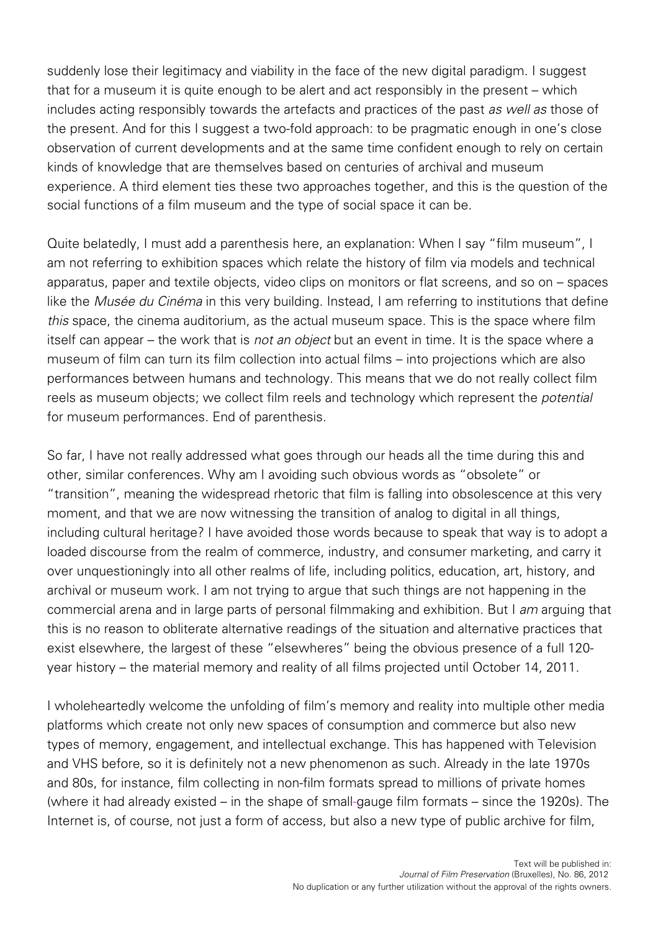suddenly lose their legitimacy and viability in the face of the new digital paradigm. I suggest that for a museum it is quite enough to be alert and act responsibly in the present – which includes acting responsibly towards the artefacts and practices of the past as well as those of the present. And for this I suggest a two-fold approach: to be pragmatic enough in one's close observation of current developments and at the same time confident enough to rely on certain kinds of knowledge that are themselves based on centuries of archival and museum experience. A third element ties these two approaches together, and this is the question of the social functions of a film museum and the type of social space it can be.

Quite belatedly, I must add a parenthesis here, an explanation: When I say "film museum", I am not referring to exhibition spaces which relate the history of film via models and technical apparatus, paper and textile objects, video clips on monitors or flat screens, and so on – spaces like the Musée du Cinéma in this very building. Instead, I am referring to institutions that define this space, the cinema auditorium, as the actual museum space. This is the space where film itself can appear – the work that is not an object but an event in time. It is the space where a museum of film can turn its film collection into actual films – into projections which are also performances between humans and technology. This means that we do not really collect film reels as museum objects; we collect film reels and technology which represent the *potential* for museum performances. End of parenthesis.

So far, I have not really addressed what goes through our heads all the time during this and other, similar conferences. Why am I avoiding such obvious words as "obsolete" or "transition", meaning the widespread rhetoric that film is falling into obsolescence at this very moment, and that we are now witnessing the transition of analog to digital in all things, including cultural heritage? I have avoided those words because to speak that way is to adopt a loaded discourse from the realm of commerce, industry, and consumer marketing, and carry it over unquestioningly into all other realms of life, including politics, education, art, history, and archival or museum work. I am not trying to argue that such things are not happening in the commercial arena and in large parts of personal filmmaking and exhibition. But I am arguing that this is no reason to obliterate alternative readings of the situation and alternative practices that exist elsewhere, the largest of these "elsewheres" being the obvious presence of a full 120 year history – the material memory and reality of all films projected until October 14, 2011.

I wholeheartedly welcome the unfolding of film's memory and reality into multiple other media platforms which create not only new spaces of consumption and commerce but also new types of memory, engagement, and intellectual exchange. This has happened with Television and VHS before, so it is definitely not a new phenomenon as such. Already in the late 1970s and 80s, for instance, film collecting in non-film formats spread to millions of private homes (where it had already existed – in the shape of small-gauge film formats – since the 1920s). The Internet is, of course, not just a form of access, but also a new type of public archive for film,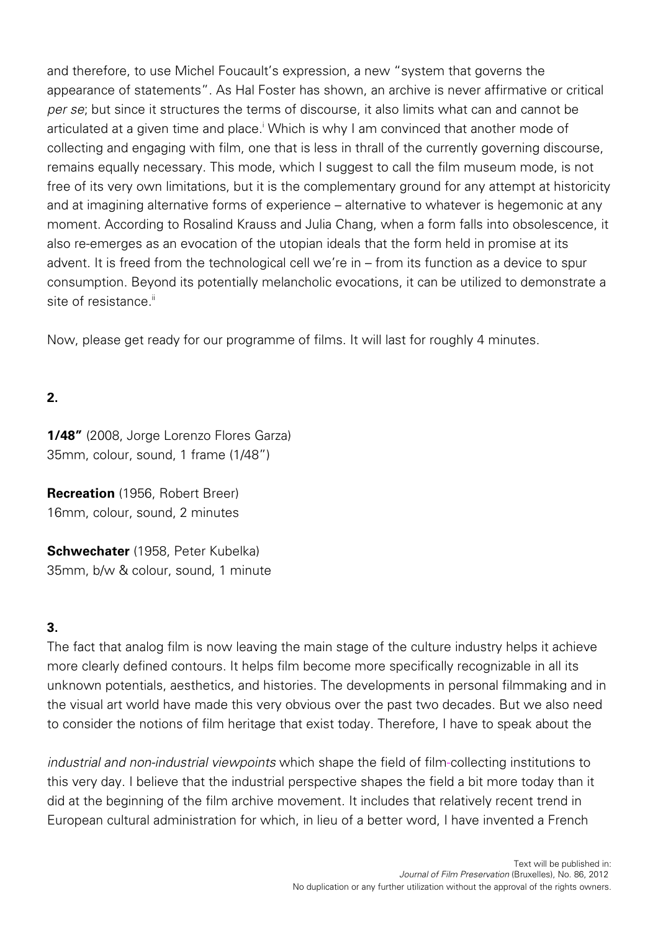and therefore, to use Michel Foucault's expression, a new "system that governs the appearance of statements". As Hal Foster has shown, an archive is never affirmative or critical per se; but since it structures the terms of discourse, it also limits what can and cannot be articulated at a given time and place.<sup>i</sup> Which is why I am convinced that another mode of collecting and engaging with film, one that is less in thrall of the currently governing discourse, remains equally necessary. This mode, which I suggest to call the film museum mode, is not free of its very own limitations, but it is the complementary ground for any attempt at historicity and at imagining alternative forms of experience – alternative to whatever is hegemonic at any moment. According to Rosalind Krauss and Julia Chang, when a form falls into obsolescence, it also re-emerges as an evocation of the utopian ideals that the form held in promise at its advent. It is freed from the technological cell we're in – from its function as a device to spur consumption. Beyond its potentially melancholic evocations, it can be utilized to demonstrate a site of resistance  $\mathbb{I}$ 

Now, please get ready for our programme of films. It will last for roughly 4 minutes.

# **2.**

**1/48"** (2008, Jorge Lorenzo Flores Garza) 35mm, colour, sound, 1 frame (1/48")

**Recreation** (1956, Robert Breer) 16mm, colour, sound, 2 minutes

**Schwechater** (1958, Peter Kubelka) 35mm, b/w & colour, sound, 1 minute

## **3.**

The fact that analog film is now leaving the main stage of the culture industry helps it achieve more clearly defined contours. It helps film become more specifically recognizable in all its unknown potentials, aesthetics, and histories. The developments in personal filmmaking and in the visual art world have made this very obvious over the past two decades. But we also need to consider the notions of film heritage that exist today. Therefore, I have to speak about the

industrial and non-industrial viewpoints which shape the field of film-collecting institutions to this very day. I believe that the industrial perspective shapes the field a bit more today than it did at the beginning of the film archive movement. It includes that relatively recent trend in European cultural administration for which, in lieu of a better word, I have invented a French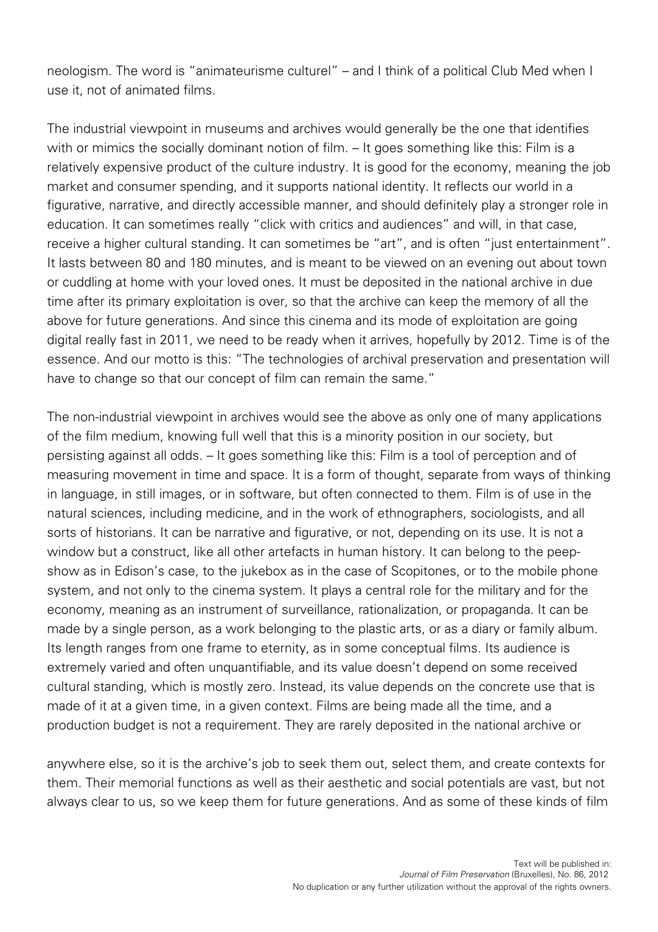neologism. The word is "animateurisme culturel" – and I think of a political Club Med when I use it, not of animated films.

The industrial viewpoint in museums and archives would generally be the one that identifies with or mimics the socially dominant notion of film. – It goes something like this: Film is a relatively expensive product of the culture industry. It is good for the economy, meaning the job market and consumer spending, and it supports national identity. It reflects our world in a figurative, narrative, and directly accessible manner, and should definitely play a stronger role in education. It can sometimes really "click with critics and audiences" and will, in that case, receive a higher cultural standing. It can sometimes be "art", and is often "just entertainment". It lasts between 80 and 180 minutes, and is meant to be viewed on an evening out about town or cuddling at home with your loved ones. It must be deposited in the national archive in due time after its primary exploitation is over, so that the archive can keep the memory of all the above for future generations. And since this cinema and its mode of exploitation are going digital really fast in 2011, we need to be ready when it arrives, hopefully by 2012. Time is of the essence. And our motto is this: "The technologies of archival preservation and presentation will have to change so that our concept of film can remain the same."

The non-industrial viewpoint in archives would see the above as only one of many applications of the film medium, knowing full well that this is a minority position in our society, but persisting against all odds. – It goes something like this: Film is a tool of perception and of measuring movement in time and space. It is a form of thought, separate from ways of thinking in language, in still images, or in software, but often connected to them. Film is of use in the natural sciences, including medicine, and in the work of ethnographers, sociologists, and all sorts of historians. It can be narrative and figurative, or not, depending on its use. It is not a window but a construct, like all other artefacts in human history. It can belong to the peepshow as in Edison's case, to the jukebox as in the case of Scopitones, or to the mobile phone system, and not only to the cinema system. It plays a central role for the military and for the economy, meaning as an instrument of surveillance, rationalization, or propaganda. It can be made by a single person, as a work belonging to the plastic arts, or as a diary or family album. Its length ranges from one frame to eternity, as in some conceptual films. Its audience is extremely varied and often unquantifiable, and its value doesn't depend on some received cultural standing, which is mostly zero. Instead, its value depends on the concrete use that is made of it at a given time, in a given context. Films are being made all the time, and a production budget is not a requirement. They are rarely deposited in the national archive or

anywhere else, so it is the archive's job to seek them out, select them, and create contexts for them. Their memorial functions as well as their aesthetic and social potentials are vast, but not always clear to us, so we keep them for future generations. And as some of these kinds of film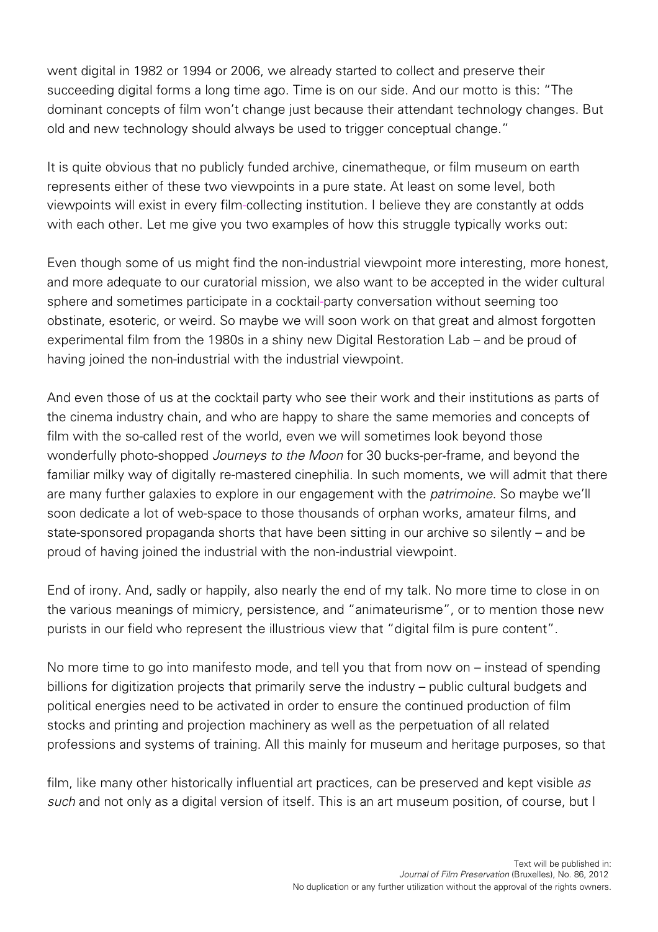went digital in 1982 or 1994 or 2006, we already started to collect and preserve their succeeding digital forms a long time ago. Time is on our side. And our motto is this: "The dominant concepts of film won't change just because their attendant technology changes. But old and new technology should always be used to trigger conceptual change."

It is quite obvious that no publicly funded archive, cinematheque, or film museum on earth represents either of these two viewpoints in a pure state. At least on some level, both viewpoints will exist in every film-collecting institution. I believe they are constantly at odds with each other. Let me give you two examples of how this struggle typically works out:

Even though some of us might find the non-industrial viewpoint more interesting, more honest, and more adequate to our curatorial mission, we also want to be accepted in the wider cultural sphere and sometimes participate in a cocktail-party conversation without seeming too obstinate, esoteric, or weird. So maybe we will soon work on that great and almost forgotten experimental film from the 1980s in a shiny new Digital Restoration Lab – and be proud of having joined the non-industrial with the industrial viewpoint.

And even those of us at the cocktail party who see their work and their institutions as parts of the cinema industry chain, and who are happy to share the same memories and concepts of film with the so-called rest of the world, even we will sometimes look beyond those wonderfully photo-shopped Journeys to the Moon for 30 bucks-per-frame, and beyond the familiar milky way of digitally re-mastered cinephilia. In such moments, we will admit that there are many further galaxies to explore in our engagement with the *patrimoine*. So maybe we'll soon dedicate a lot of web-space to those thousands of orphan works, amateur films, and state-sponsored propaganda shorts that have been sitting in our archive so silently – and be proud of having joined the industrial with the non-industrial viewpoint.

End of irony. And, sadly or happily, also nearly the end of my talk. No more time to close in on the various meanings of mimicry, persistence, and "animateurisme", or to mention those new purists in our field who represent the illustrious view that "digital film is pure content".

No more time to go into manifesto mode, and tell you that from now on – instead of spending billions for digitization projects that primarily serve the industry – public cultural budgets and political energies need to be activated in order to ensure the continued production of film stocks and printing and projection machinery as well as the perpetuation of all related professions and systems of training. All this mainly for museum and heritage purposes, so that

film, like many other historically influential art practices, can be preserved and kept visible as such and not only as a digital version of itself. This is an art museum position, of course, but I